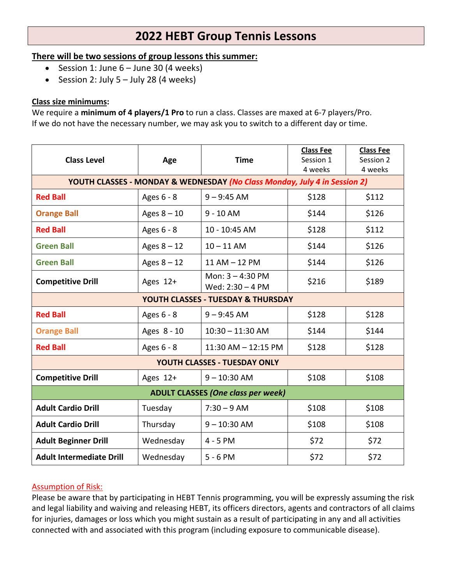# **2022 HEBT Group Tennis Lessons**

# **There will be two sessions of group lessons this summer:**

- Session 1: June  $6 -$  June 30 (4 weeks)
- Session 2: July  $5 -$  July 28 (4 weeks)

## **Class size minimums:**

We require a **minimum of 4 players/1 Pro** to run a class. Classes are maxed at 6-7 players/Pro. If we do not have the necessary number, we may ask you to switch to a different day or time.

|                                                                           | Age           | <b>Time</b>                              | <b>Class Fee</b> | <b>Class Fee</b> |  |  |  |
|---------------------------------------------------------------------------|---------------|------------------------------------------|------------------|------------------|--|--|--|
| <b>Class Level</b>                                                        |               |                                          | Session 1        | Session 2        |  |  |  |
|                                                                           |               |                                          | 4 weeks          | 4 weeks          |  |  |  |
| YOUTH CLASSES - MONDAY & WEDNESDAY (No Class Monday, July 4 in Session 2) |               |                                          |                  |                  |  |  |  |
| <b>Red Ball</b>                                                           | Ages 6 - 8    | $9 - 9:45$ AM                            | \$128            | \$112            |  |  |  |
| <b>Orange Ball</b>                                                        | Ages $8 - 10$ | $9 - 10$ AM                              | \$144            | \$126            |  |  |  |
| <b>Red Ball</b>                                                           | Ages 6 - 8    | 10 - 10:45 AM                            | \$128            | \$112            |  |  |  |
| <b>Green Ball</b>                                                         | Ages $8 - 12$ | $10 - 11$ AM                             | \$144            | \$126            |  |  |  |
| <b>Green Ball</b>                                                         | Ages $8 - 12$ | 11 AM - 12 PM                            | \$144            | \$126            |  |  |  |
| <b>Competitive Drill</b>                                                  | Ages 12+      | Mon: $3 - 4:30$ PM<br>Wed: $2:30 - 4$ PM | \$216            | \$189            |  |  |  |
| YOUTH CLASSES - TUESDAY & THURSDAY                                        |               |                                          |                  |                  |  |  |  |
| <b>Red Ball</b>                                                           | Ages 6 - 8    | $9 - 9:45$ AM                            | \$128            | \$128            |  |  |  |
| <b>Orange Ball</b>                                                        | Ages 8 - 10   | $10:30 - 11:30$ AM                       | \$144            | \$144            |  |  |  |
| <b>Red Ball</b>                                                           | Ages 6 - 8    | 11:30 AM - 12:15 PM                      | \$128            | \$128            |  |  |  |
| YOUTH CLASSES - TUESDAY ONLY                                              |               |                                          |                  |                  |  |  |  |
| <b>Competitive Drill</b>                                                  | Ages 12+      | $9 - 10:30$ AM                           | \$108            | \$108            |  |  |  |
| <b>ADULT CLASSES (One class per week)</b>                                 |               |                                          |                  |                  |  |  |  |
| <b>Adult Cardio Drill</b>                                                 | Tuesday       | $7:30 - 9$ AM                            | \$108            | \$108            |  |  |  |
| <b>Adult Cardio Drill</b>                                                 | Thursday      | $9 - 10:30$ AM                           | \$108            | \$108            |  |  |  |
| <b>Adult Beginner Drill</b>                                               | Wednesday     | 4 - 5 PM                                 | \$72             | \$72             |  |  |  |
| <b>Adult Intermediate Drill</b>                                           | Wednesday     | $5 - 6 PM$                               | \$72             | \$72             |  |  |  |

# Assumption of Risk:

Please be aware that by participating in HEBT Tennis programming, you will be expressly assuming the risk and legal liability and waiving and releasing HEBT, its officers directors, agents and contractors of all claims for injuries, damages or loss which you might sustain as a result of participating in any and all activities connected with and associated with this program (including exposure to communicable disease).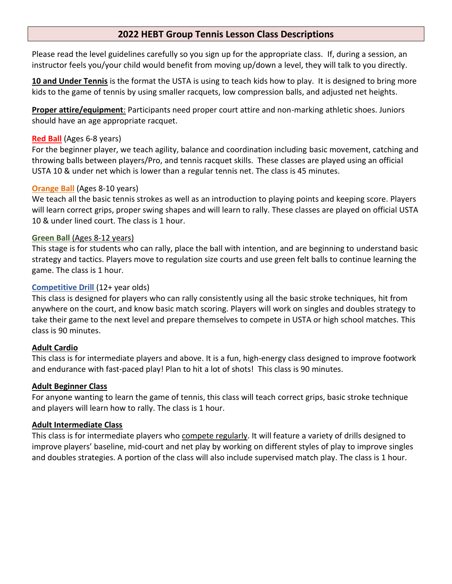# **2022 HEBT Group Tennis Lesson Class Descriptions**

Please read the level guidelines carefully so you sign up for the appropriate class. If, during a session, an instructor feels you/your child would benefit from moving up/down a level, they will talk to you directly.

**10 and Under Tennis** is the format the USTA is using to teach kids how to play. It is designed to bring more kids to the game of tennis by using smaller racquets, low compression balls, and adjusted net heights.

**Proper attire/equipment**: Participants need proper court attire and non-marking athletic shoes. Juniors should have an age appropriate racquet.

### **Red Ball** (Ages 6-8 years)

For the beginner player, we teach agility, balance and coordination including basic movement, catching and throwing balls between players/Pro, and tennis racquet skills. These classes are played using an official USTA 10 & under net which is lower than a regular tennis net. The class is 45 minutes.

#### **Orange Ball** (Ages 8-10 years)

We teach all the basic tennis strokes as well as an introduction to playing points and keeping score. Players will learn correct grips, proper swing shapes and will learn to rally. These classes are played on official USTA 10 & under lined court. The class is 1 hour.

#### **Green Ball** (Ages 8-12 years)

This stage is for students who can rally, place the ball with intention, and are beginning to understand basic strategy and tactics. Players move to regulation size courts and use green felt balls to continue learning the game. The class is 1 hour.

## **Competitive Drill** (12+ year olds)

This class is designed for players who can rally consistently using all the basic stroke techniques, hit from anywhere on the court, and know basic match scoring. Players will work on singles and doubles strategy to take their game to the next level and prepare themselves to compete in USTA or high school matches. This class is 90 minutes.

# **Adult Cardio**

This class is for intermediate players and above. It is a fun, high-energy class designed to improve footwork and endurance with fast-paced play! Plan to hit a lot of shots! This class is 90 minutes.

#### **Adult Beginner Class**

For anyone wanting to learn the game of tennis, this class will teach correct grips, basic stroke technique and players will learn how to rally. The class is 1 hour.

#### **Adult Intermediate Class**

This class is for intermediate players who compete regularly. It will feature a variety of drills designed to improve players' baseline, mid-court and net play by working on different styles of play to improve singles and doubles strategies. A portion of the class will also include supervised match play. The class is 1 hour.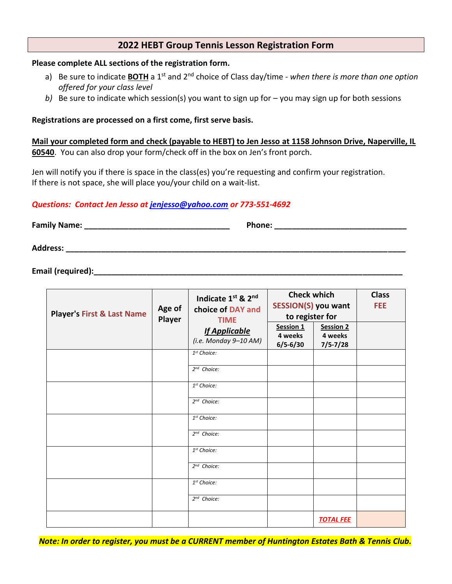# **2022 HEBT Group Tennis Lesson Registration Form**

#### **Please complete ALL sections of the registration form.**

- a) Be sure to indicate **BOTH** a 1st and 2nd choice of Class day/time *when there is more than one option offered for your class level*
- *b)* Be sure to indicate which session(s) you want to sign up for you may sign up for both sessions

#### **Registrations are processed on a first come, first serve basis.**

**Mail your completed form and check (payable to HEBT) to Jen Jesso at 1158 Johnson Drive, Naperville, IL 60540**. You can also drop your form/check off in the box on Jen's front porch.

Jen will notify you if there is space in the class(es) you're requesting and confirm your registration. If there is not space, she will place you/your child on a wait-list.

#### *Questions: Contact Jen Jesso at [jenjesso@yahoo.com](mailto:jenjesso@yahoo.com) or 773-551-4692*

| <b>Family Name:</b> | Phone: |
|---------------------|--------|
| <b>Address:</b>     |        |

**Email (required):** 

| <b>Player's First &amp; Last Name</b> | Age of<br>Player | Indicate 1st & 2nd<br>choice of DAY and<br><b>TIME</b><br><b>If Applicable</b><br>(i.e. Monday $9-10$ AM) | <b>Check which</b><br><b>SESSION(S) you want</b> |                             | <b>Class</b><br><b>FEE</b> |
|---------------------------------------|------------------|-----------------------------------------------------------------------------------------------------------|--------------------------------------------------|-----------------------------|----------------------------|
|                                       |                  |                                                                                                           | to register for                                  |                             |                            |
|                                       |                  |                                                                                                           | Session 1<br>4 weeks                             | <b>Session 2</b><br>4 weeks |                            |
|                                       |                  |                                                                                                           | $6/5 - 6/30$                                     | $7/5 - 7/28$                |                            |
|                                       |                  | 1 <sup>st</sup> Choice:                                                                                   |                                                  |                             |                            |
|                                       |                  | $2^{nd}$ Choice:                                                                                          |                                                  |                             |                            |
|                                       |                  | 1 <sup>st</sup> Choice:                                                                                   |                                                  |                             |                            |
|                                       |                  | 2 <sup>nd</sup> Choice:                                                                                   |                                                  |                             |                            |
|                                       |                  | 1 <sup>st</sup> Choice:                                                                                   |                                                  |                             |                            |
|                                       |                  | $2^{nd}$ Choice:                                                                                          |                                                  |                             |                            |
|                                       |                  | $1st$ Choice:                                                                                             |                                                  |                             |                            |
|                                       |                  | $2^{nd}$ Choice:                                                                                          |                                                  |                             |                            |
|                                       |                  | 1 <sup>st</sup> Choice:                                                                                   |                                                  |                             |                            |
|                                       |                  | 2 <sup>nd</sup> Choice:                                                                                   |                                                  |                             |                            |
|                                       |                  |                                                                                                           |                                                  | <b>TOTAL FEE</b>            |                            |

*Note: In order to register, you must be a CURRENT member of Huntington Estates Bath & Tennis Club.*